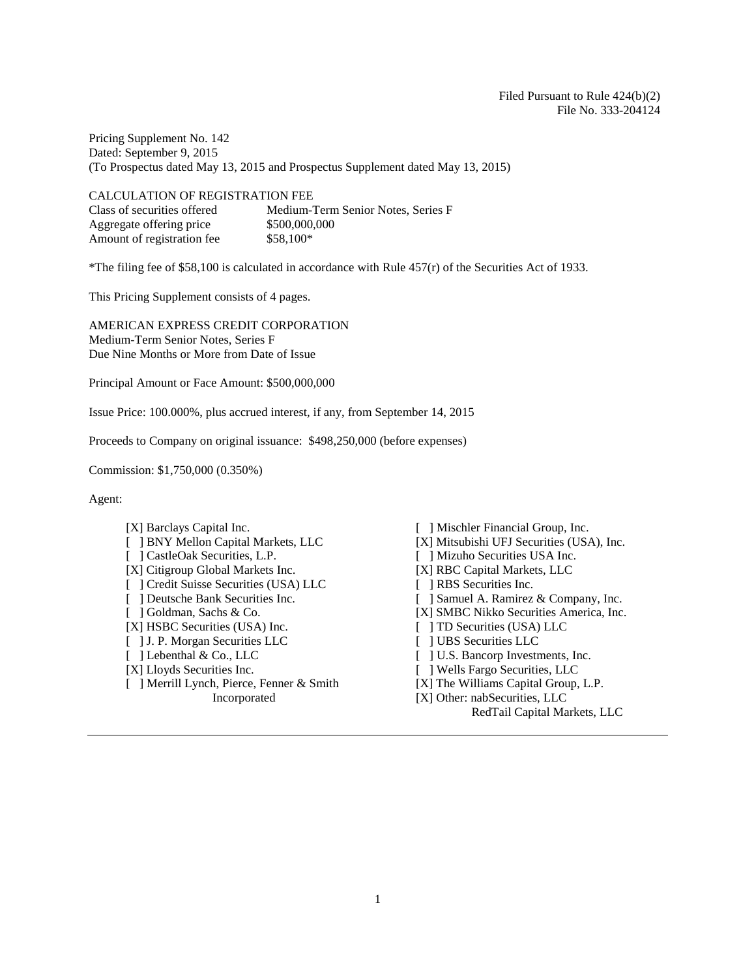Pricing Supplement No. 142 Dated: September 9, 2015 (To Prospectus dated May 13, 2015 and Prospectus Supplement dated May 13, 2015)

| <b>CALCULATION OF REGISTRATION FEE</b> |                                    |
|----------------------------------------|------------------------------------|
| Class of securities offered            | Medium-Term Senior Notes, Series F |
| Aggregate offering price               | \$500,000,000                      |
| Amount of registration fee             | $$58.100*$                         |

\*The filing fee of \$58,100 is calculated in accordance with Rule 457(r) of the Securities Act of 1933.

This Pricing Supplement consists of 4 pages.

AMERICAN EXPRESS CREDIT CORPORATION Medium-Term Senior Notes, Series F Due Nine Months or More from Date of Issue

Principal Amount or Face Amount: \$500,000,000

Issue Price: 100.000%, plus accrued interest, if any, from September 14, 2015

Proceeds to Company on original issuance: \$498,250,000 (before expenses)

Commission: \$1,750,000 (0.350%)

Agent:

- [ ] CastleOak Securities, L.P. [ ] Mizuho Securities USA Inc. [X] Citigroup Global Markets Inc. [X] RBC Capital Markets, LLC<br>
[ ] Credit Suisse Securities (USA) LLC [ ] RBS Securities Inc. [ ] Credit Suisse Securities (USA) LLC [ ] Goldman, Sachs & Co. [X] SMBC Nikko Securities America, Inc. [X] HSBC Securities (USA) Inc. [ 1 TD Securities (USA) LLC  $[X]$  HSBC Securities (USA) Inc. [ ] J. P. Morgan Securities LLC [ ] UBS Securities LLC [ ] Lebenthal & Co., LLC [ ] U.S. Bancorp Investments, Inc. [X] Lloyds Securities Inc. [ ] Wells Fargo Securities, LLC [ ] Merrill Lynch, Pierce, Fenner & Smith Incorporated
- [X] Barclays Capital Inc. [ ] Mischler Financial Group, Inc.
- [ ] BNY Mellon Capital Markets, LLC [X] Mitsubishi UFJ Securities (USA), Inc.
	-
	-
	-
- [ ] Deutsche Bank Securities Inc. [ ] Samuel A. Ramirez & Company, Inc.
	-
	-
	-
	-
	-
	- [X] The Williams Capital Group, L.P.
	- [X] Other: nabSecurities, LLC
		- RedTail Capital Markets, LLC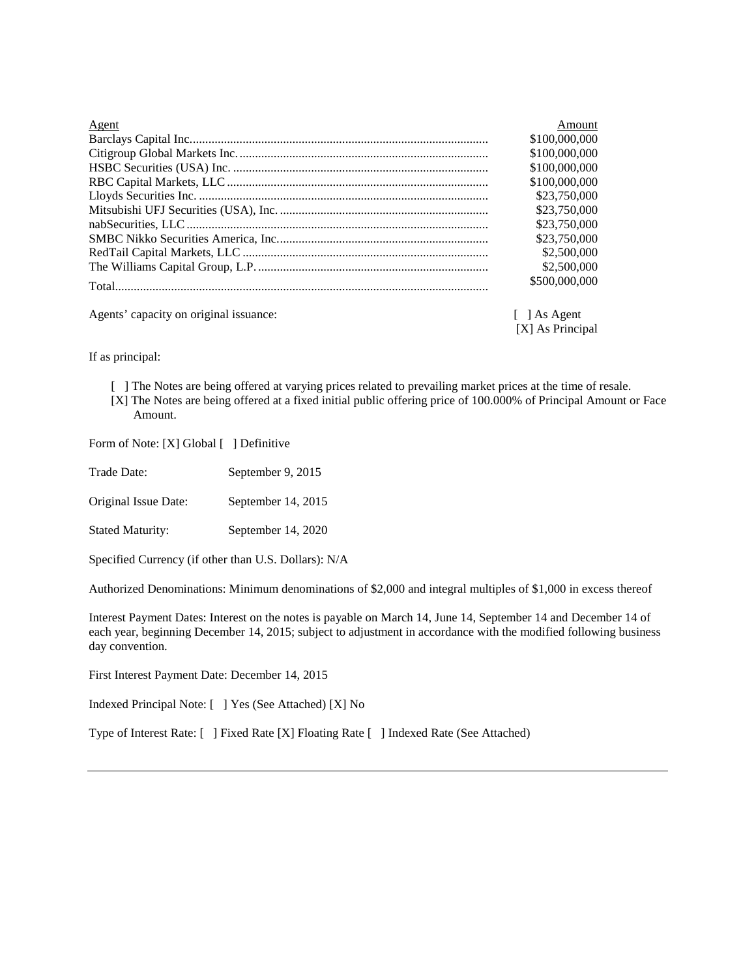| Agent                                  | Amount                     |
|----------------------------------------|----------------------------|
|                                        | \$100,000,000              |
|                                        | \$100,000,000              |
|                                        | \$100,000,000              |
|                                        | \$100,000,000              |
|                                        | \$23,750,000               |
|                                        | \$23,750,000               |
|                                        | \$23,750,000               |
|                                        | \$23,750,000               |
|                                        | \$2,500,000                |
|                                        | \$2,500,000                |
|                                        | \$500,000,000              |
| Agents' capacity on original issuance: | $\lceil \ \rceil$ As Agent |
|                                        | [X] As Principal           |

If as principal:

[ ] The Notes are being offered at varying prices related to prevailing market prices at the time of resale. [X] The Notes are being offered at a fixed initial public offering price of 100.000% of Principal Amount or Face Amount.

Form of Note: [X] Global [ ] Definitive

| Trade Date: | September 9, 2015 |
|-------------|-------------------|
|-------------|-------------------|

Original Issue Date: September 14, 2015

Stated Maturity: September 14, 2020

Specified Currency (if other than U.S. Dollars): N/A

Authorized Denominations: Minimum denominations of \$2,000 and integral multiples of \$1,000 in excess thereof

Interest Payment Dates: Interest on the notes is payable on March 14, June 14, September 14 and December 14 of each year, beginning December 14, 2015; subject to adjustment in accordance with the modified following business day convention.

First Interest Payment Date: December 14, 2015

Indexed Principal Note: [ ] Yes (See Attached) [X] No

Type of Interest Rate: [ ] Fixed Rate [X] Floating Rate [ ] Indexed Rate (See Attached)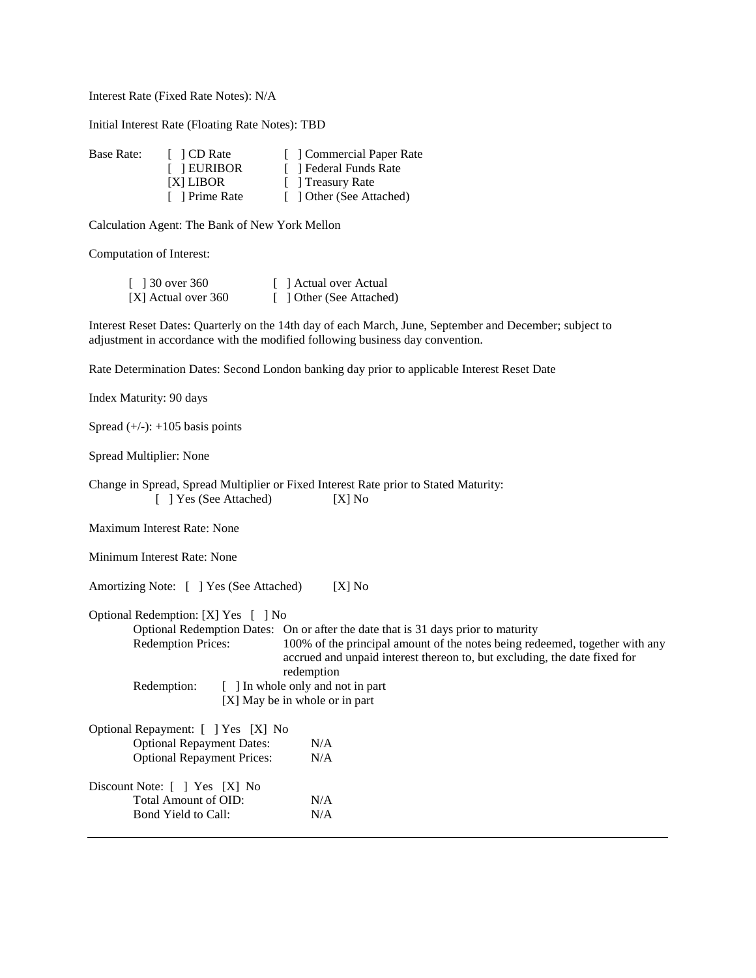Interest Rate (Fixed Rate Notes): N/A

Initial Interest Rate (Floating Rate Notes): TBD

| Base Rate: | $\Box$ CD Rate | [ Commercial Paper Rate  |
|------------|----------------|--------------------------|
|            | [ EURIBOR      | [ ] Federal Funds Rate   |
|            | [X] LIBOR      | [ ] Treasury Rate        |
|            | [ ] Prime Rate | [ ] Other (See Attached) |

Calculation Agent: The Bank of New York Mellon

Computation of Interest:

| [ $\sqrt{30}$ over 360 | [ ] Actual over Actual   |
|------------------------|--------------------------|
| [X] Actual over 360    | [ ] Other (See Attached) |

Interest Reset Dates: Quarterly on the 14th day of each March, June, September and December; subject to adjustment in accordance with the modified following business day convention.

Rate Determination Dates: Second London banking day prior to applicable Interest Reset Date

Index Maturity: 90 days

Spread  $(+/-): +105$  basis points

Spread Multiplier: None

Change in Spread, Spread Multiplier or Fixed Interest Rate prior to Stated Maturity: [ ] Yes (See Attached) [X] No

Maximum Interest Rate: None

Minimum Interest Rate: None

Amortizing Note: [ ] Yes (See Attached) [X] No

Optional Redemption: [X] Yes [ ] No

Optional Redemption Dates: On or after the date that is 31 days prior to maturity Redemption Prices: 100% of the principal amount of the notes being red 100% of the principal amount of the notes being redeemed, together with any accrued and unpaid interest thereon to, but excluding, the date fixed for redemption

| Redemption: | [ ] In whole only and not in part |
|-------------|-----------------------------------|
|             | [X] May be in whole or in part    |

| Optional Repayment: [ ] Yes [X] No                                           |            |
|------------------------------------------------------------------------------|------------|
| <b>Optional Repayment Dates:</b>                                             | N/A        |
| <b>Optional Repayment Prices:</b>                                            |            |
| Discount Note: [ ] Yes [X] No<br>Total Amount of OID:<br>Bond Yield to Call: | N/A<br>N/A |